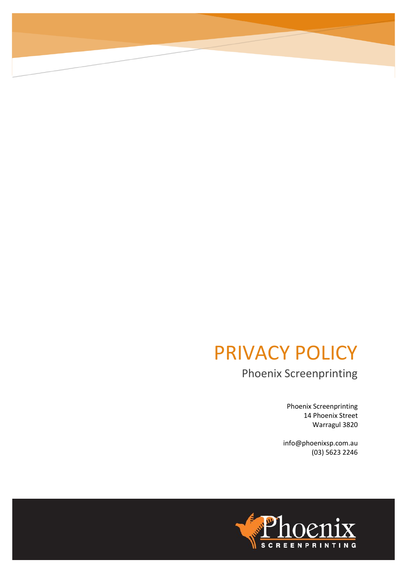## PRIVACY POLICY

Phoenix Screenprinting

Phoenix Screenprinting 14 Phoenix Street Warragul 3820

info@phoenixsp.com.au (03) 5623 2246

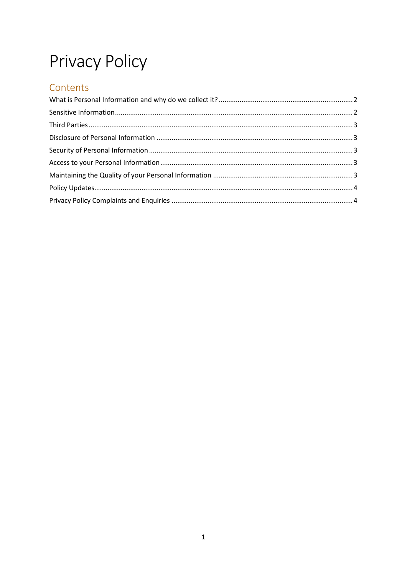# **Privacy Policy**

## Contents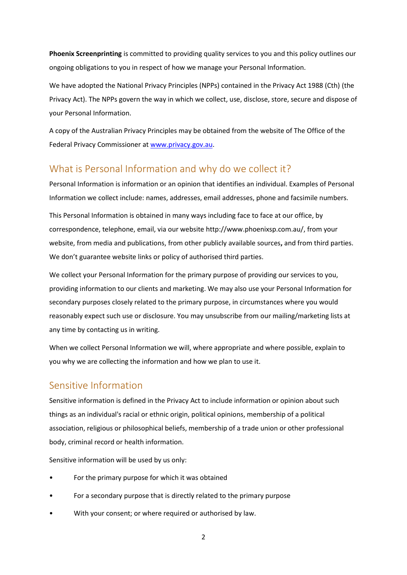**Phoenix Screenprinting** is committed to providing quality services to you and this policy outlines our ongoing obligations to you in respect of how we manage your Personal Information.

We have adopted the National Privacy Principles (NPPs) contained in the Privacy Act 1988 (Cth) (the Privacy Act). The NPPs govern the way in which we collect, use, disclose, store, secure and dispose of your Personal Information.

A copy of the Australian Privacy Principles may be obtained from the website of The Office of the Federal Privacy Commissioner at [www.privacy.gov.au.](http://www.privacy.gov.au/)

### <span id="page-2-0"></span>What is Personal Information and why do we collect it?

Personal Information is information or an opinion that identifies an individual. Examples of Personal Information we collect include: names, addresses, email addresses, phone and facsimile numbers.

This Personal Information is obtained in many ways including face to face at our office, by correspondence, telephone, email, via our website http://www.phoenixsp.com.au/, from your website, from media and publications, from other publicly available sources**,** and from third parties. We don't guarantee website links or policy of authorised third parties.

We collect your Personal Information for the primary purpose of providing our services to you, providing information to our clients and marketing. We may also use your Personal Information for secondary purposes closely related to the primary purpose, in circumstances where you would reasonably expect such use or disclosure. You may unsubscribe from our mailing/marketing lists at any time by contacting us in writing.

When we collect Personal Information we will, where appropriate and where possible, explain to you why we are collecting the information and how we plan to use it.

#### <span id="page-2-1"></span>Sensitive Information

Sensitive information is defined in the Privacy Act to include information or opinion about such things as an individual's racial or ethnic origin, political opinions, membership of a political association, religious or philosophical beliefs, membership of a trade union or other professional body, criminal record or health information.

Sensitive information will be used by us only:

- For the primary purpose for which it was obtained
- For a secondary purpose that is directly related to the primary purpose
- With your consent; or where required or authorised by law.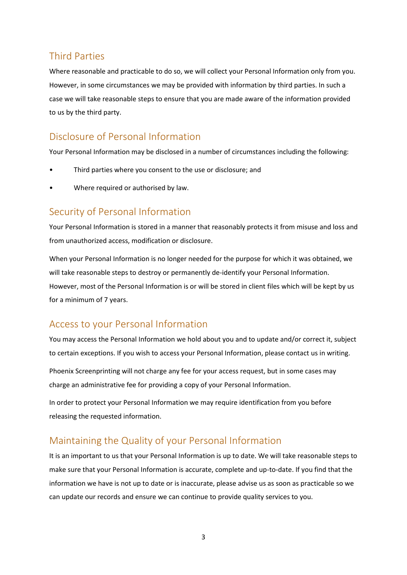### <span id="page-3-0"></span>Third Parties

Where reasonable and practicable to do so, we will collect your Personal Information only from you. However, in some circumstances we may be provided with information by third parties. In such a case we will take reasonable steps to ensure that you are made aware of the information provided to us by the third party.

## <span id="page-3-1"></span>Disclosure of Personal Information

Your Personal Information may be disclosed in a number of circumstances including the following:

- Third parties where you consent to the use or disclosure; and
- Where required or authorised by law.

#### <span id="page-3-2"></span>Security of Personal Information

Your Personal Information is stored in a manner that reasonably protects it from misuse and loss and from unauthorized access, modification or disclosure.

When your Personal Information is no longer needed for the purpose for which it was obtained, we will take reasonable steps to destroy or permanently de-identify your Personal Information. However, most of the Personal Information is or will be stored in client files which will be kept by us for a minimum of 7 years.

### <span id="page-3-3"></span>Access to your Personal Information

You may access the Personal Information we hold about you and to update and/or correct it, subject to certain exceptions. If you wish to access your Personal Information, please contact us in writing.

Phoenix Screenprinting will not charge any fee for your access request, but in some cases may charge an administrative fee for providing a copy of your Personal Information.

In order to protect your Personal Information we may require identification from you before releasing the requested information.

### <span id="page-3-4"></span>Maintaining the Quality of your Personal Information

It is an important to us that your Personal Information is up to date. We will take reasonable steps to make sure that your Personal Information is accurate, complete and up-to-date. If you find that the information we have is not up to date or is inaccurate, please advise us as soon as practicable so we can update our records and ensure we can continue to provide quality services to you.